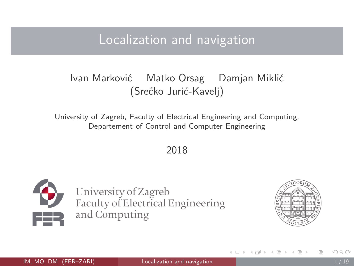### <span id="page-0-0"></span>Localization and navigation

#### Ivan Marković Matko Orsag Damjan Miklić (Srećko Jurić-Kavelj)

University of Zagreb, Faculty of Electrical Engineering and Computing, Departement of Control and Computer Engineering

2018



University of Zagreb Faculty of Electrical Engineering and Computing



ィ何 ▶ ィヨ ▶ ィヨ ▶

 $\leftarrow$   $\Box$   $\rightarrow$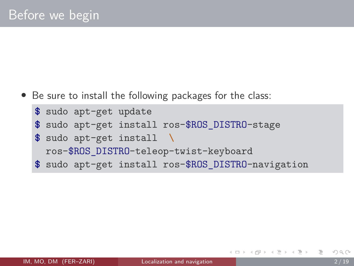• Be sure to install the following packages for the class:

```
$ sudo apt-get update
$ sudo apt-get install ros-$ROS_DISTRO-stage
$ sudo apt-get install \
 ros-$ROS_DISTRO-teleop-twist-keyboard
$ sudo apt-get install ros-$ROS_DISTRO-navigation
```
(何) イヨト イヨト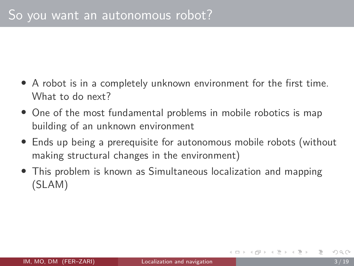- A robot is in a completely unknown environment for the first time. What to do next?
- One of the most fundamental problems in mobile robotics is map building of an unknown environment
- Ends up being a prerequisite for autonomous mobile robots (without making structural changes in the environment)
- This problem is known as Simultaneous localization and mapping (SLAM)

 $A \equiv 1$  and  $B \equiv 1$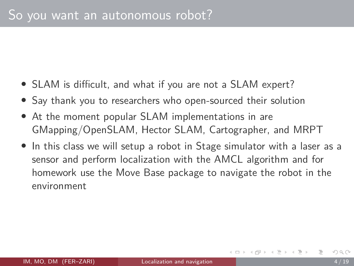- SLAM is difficult, and what if you are not a SLAM expert?
- Say thank you to researchers who open-sourced their solution
- At the moment popular SLAM implementations in are [GMapping/OpenSLAM,](http://www.ros.org/wiki/gmapping) [Hector SLAM,](http://www.ros.org/wiki/hector_slam) [Cartographer,](http://wiki.ros.org/cartographer) and [MRPT](http://wiki.ros.org/mrpt_slam)
- In this class we will setup a robot in Stage simulator with a laser as a sensor and perform localization with the AMCL algorithm and for homework use the Move Base package to navigate the robot in the environment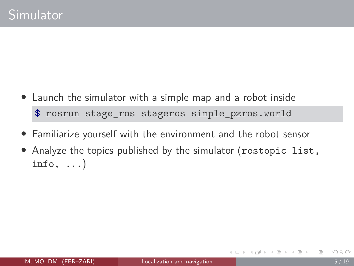- Launch the simulator with a simple map and a robot inside **\$** rosrun stage\_ros stageros simple\_pzros.world
- Familiarize yourself with the environment and the robot sensor
- Analyze the topics published by the simulator (rostopic list, info,  $\ldots$ )

4 何 ト 4 三 ト 4 三 ト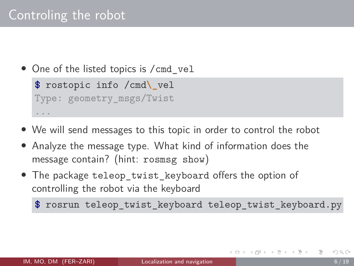## Controling the robot

• One of the listed topics is /cmd\_vel

**\$** rostopic info /cmd**\\_**vel Type: geometry\_msgs/Twist ...

- We will send messages to this topic in order to control the robot
- Analyze the message type. What kind of information does the message contain? (hint: rosmsg show)
- The package teleop\_twist\_keyboard offers the option of controlling the robot via the keyboard

**\$** rosrun teleop\_twist\_keyboard teleop\_twist\_keyboard.py

- 4 母 ト 4 ヨ ト 4 ヨ ト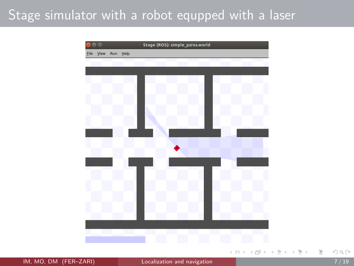### Stage simulator with a robot equpped with a laser



IM, MO, DM (FER–ZARI) [Localization and navigation](#page-0-0) 7 / 19

E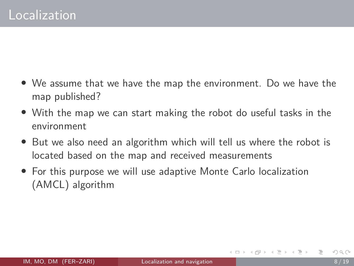- We assume that we have the map the environment. Do we have the map published?
- With the map we can start making the robot do useful tasks in the environment
- But we also need an algorithm which will tell us where the robot is located based on the map and received measurements
- For this purpose we will use adaptive Monte Carlo localization (AMCL) algorithm

 $A \equiv 1 \land A \equiv 1$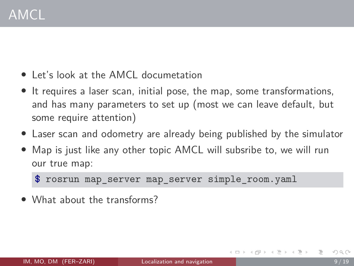- Let's look at the [AMCL documetation](http://www.ros.org/wiki/amcl)
- It requires a laser scan, initial pose, the map, some transformations, and has many parameters to set up (most we can leave default, but some require attention)
- Laser scan and odometry are already being published by the simulator
- Map is just like any other topic AMCL will subsribe to, we will run our true map:

**\$** rosrun map\_server map\_server simple\_room.yaml

• What about the transforms?

 $A \equiv 1 \land A \equiv 1$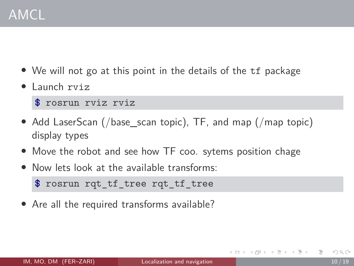- We will not go at this point in the details of the tf package
- Launch rviz

**\$** rosrun rviz rviz

- Add LaserScan (/base\_scan topic), TF, and map (/map topic) display types
- Move the robot and see how TF coo. sytems position chage
- Now lets look at the available transforms:

```
$ rosrun rqt_tf_tree rqt_tf_tree
```
• Are all the required transforms available?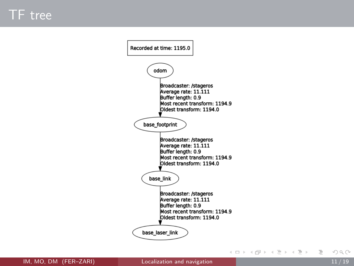

IM, MO, DM (FER–ZARI) [Localization and navigation](#page-0-0)  $11/19$ 

 $\equiv$   $\circ$   $\circ$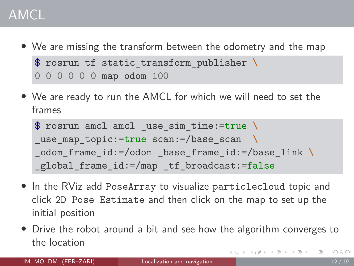# AMCL

- We are missing the transform between the odometry and the map **\$** rosrun tf static\_transform\_publisher **\** 0 0 0 0 0 0 map odom 100
- We are ready to run the AMCL for which we will need to set the frames

```
$ rosrun amcl amcl _use_sim_time:=true \
use map topic:=true scan:=/base scan \
_odom_frame_id:=/odom _base_frame_id:=/base_link \
global frame id:=/map tf broadcast:=false
```
- In the RViz add PoseArray to visualize particlecloud topic and click 2D Pose Estimate and then click on the map to set up the initial position
- Drive the robot around a bit and see how the algorithm converges to the location イロト イ押 トイラト イラト  $OQ$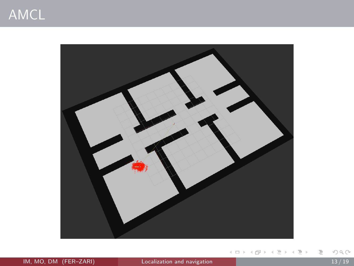

IM, MO, DM (FER-ZARI) [Localization and navigation](#page-0-0) 13/19

K ロ H K 個 H K 경 H K 경 H ( 경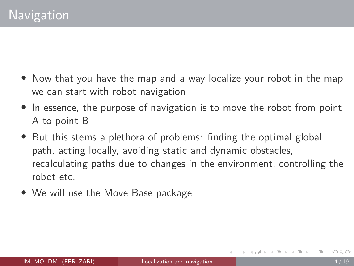- Now that you have the map and a way localize your robot in the map we can start with robot navigation
- In essence, the purpose of navigation is to move the robot from point A to point B
- But this stems a plethora of problems: finding the optimal global path, acting locally, avoiding static and dynamic obstacles, recalculating paths due to changes in the environment, controlling the robot etc.
- We will use the [Move Base](http://www.ros.org/wiki/move_base) package

④ 骨 ト ④ ヨ ト ④ ヨ ト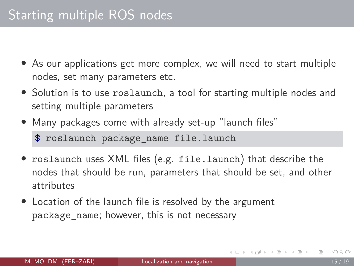- As our applications get more complex, we will need to start multiple nodes, set many parameters etc.
- Solution is to use roslaunch, a tool for starting multiple nodes and setting multiple parameters
- Many packages come with already set-up "launch files" **\$** roslaunch package\_name file.launch
- roslaunch uses XML files (e.g. file.launch) that describe the nodes that should be run, parameters that should be set, and other attributes
- Location of the launch file is resolved by the argument package\_name; however, this is not necessary

イロト イ母ト イヨト イヨト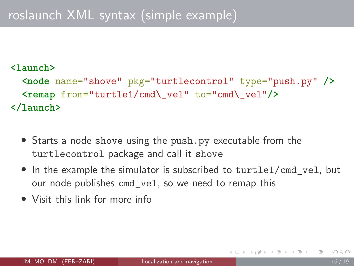# roslaunch XML syntax (simple example)

#### **<launch>**

```
<node name="shove" pkg="turtlecontrol" type="push.py" />
  <remap from="turtle1/cmd\_vel" to="cmd\_vel"/>
</launch>
```
- Starts a node shove using the push.py executable from the turtlecontrol package and call it shove
- In the example the simulator is subscribed to turtle1/cmd vel, but our node publishes cmd\_vel, so we need to remap this
- Visit this [link](http://wiki.ros.org/roslaunch/XML) for more info

イロト イ押 トイヨ トイヨ トー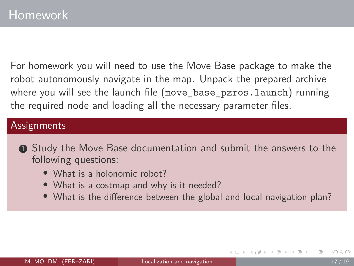For homework you will need to use the Move Base package to make the robot autonomously navigate in the map. Unpack the prepared archive where you will see the launch file (move base pzros.launch) running the required node and loading all the necessary parameter files.

#### **Assignments**

- **1** Study the Move Base documentation and submit the answers to the following questions:
	- What is a holonomic robot?
	- What is a costmap and why is it needed?
	- What is the difference between the global and local navigation plan?

イロト イ母ト イヨト イヨト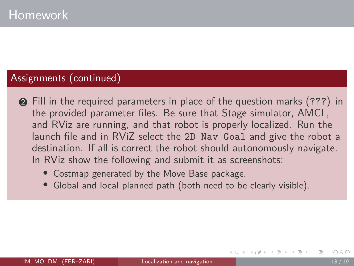#### Assignments (continued)

- <sup>2</sup> Fill in the required parameters in place of the question marks (???) in the provided parameter files. Be sure that Stage simulator, AMCL, and RViz are running, and that robot is properly localized. Run the launch file and in RViZ select the 2D Nav Goal and give the robot a destination. If all is correct the robot should autonomously navigate. In RViz show the following and submit it as screenshots:
	- Costmap generated by the Move Base package.
	- Global and local planned path (both need to be clearly visible).

ィ何 ▶ ィヨ ▶ ィヨ ▶